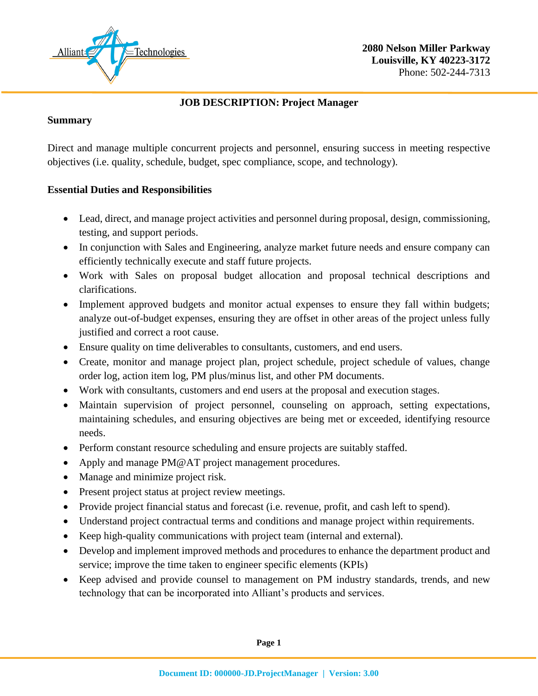

## **JOB DESCRIPTION: Project Manager**

#### **Summary**

Direct and manage multiple concurrent projects and personnel, ensuring success in meeting respective objectives (i.e. quality, schedule, budget, spec compliance, scope, and technology).

# **Essential Duties and Responsibilities**

- Lead, direct, and manage project activities and personnel during proposal, design, commissioning, testing, and support periods.
- In conjunction with Sales and Engineering, analyze market future needs and ensure company can efficiently technically execute and staff future projects.
- Work with Sales on proposal budget allocation and proposal technical descriptions and clarifications.
- Implement approved budgets and monitor actual expenses to ensure they fall within budgets; analyze out-of-budget expenses, ensuring they are offset in other areas of the project unless fully justified and correct a root cause.
- Ensure quality on time deliverables to consultants, customers, and end users.
- Create, monitor and manage project plan, project schedule, project schedule of values, change order log, action item log, PM plus/minus list, and other PM documents.
- Work with consultants, customers and end users at the proposal and execution stages.
- Maintain supervision of project personnel, counseling on approach, setting expectations, maintaining schedules, and ensuring objectives are being met or exceeded, identifying resource needs.
- Perform constant resource scheduling and ensure projects are suitably staffed.
- Apply and manage PM@AT project management procedures.
- Manage and minimize project risk.
- Present project status at project review meetings.
- Provide project financial status and forecast (i.e. revenue, profit, and cash left to spend).
- Understand project contractual terms and conditions and manage project within requirements.
- Keep high-quality communications with project team (internal and external).
- Develop and implement improved methods and procedures to enhance the department product and service; improve the time taken to engineer specific elements (KPIs)
- Keep advised and provide counsel to management on PM industry standards, trends, and new technology that can be incorporated into Alliant's products and services.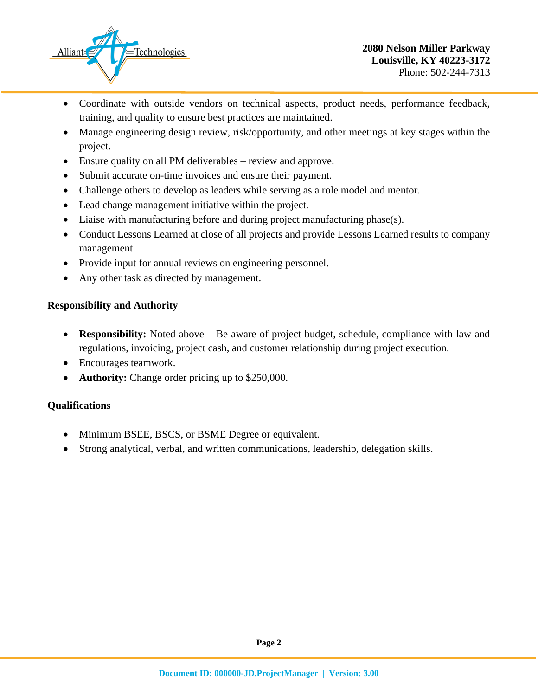

- Coordinate with outside vendors on technical aspects, product needs, performance feedback, training, and quality to ensure best practices are maintained.
- Manage engineering design review, risk/opportunity, and other meetings at key stages within the project.
- Ensure quality on all PM deliverables review and approve.
- Submit accurate on-time invoices and ensure their payment.
- Challenge others to develop as leaders while serving as a role model and mentor.
- Lead change management initiative within the project.
- Liaise with manufacturing before and during project manufacturing phase(s).
- Conduct Lessons Learned at close of all projects and provide Lessons Learned results to company management.
- Provide input for annual reviews on engineering personnel.
- Any other task as directed by management.

#### **Responsibility and Authority**

- **Responsibility:** Noted above Be aware of project budget, schedule, compliance with law and regulations, invoicing, project cash, and customer relationship during project execution.
- Encourages teamwork.
- **Authority:** Change order pricing up to \$250,000.

#### **Qualifications**

- Minimum BSEE, BSCS, or BSME Degree or equivalent.
- Strong analytical, verbal, and written communications, leadership, delegation skills.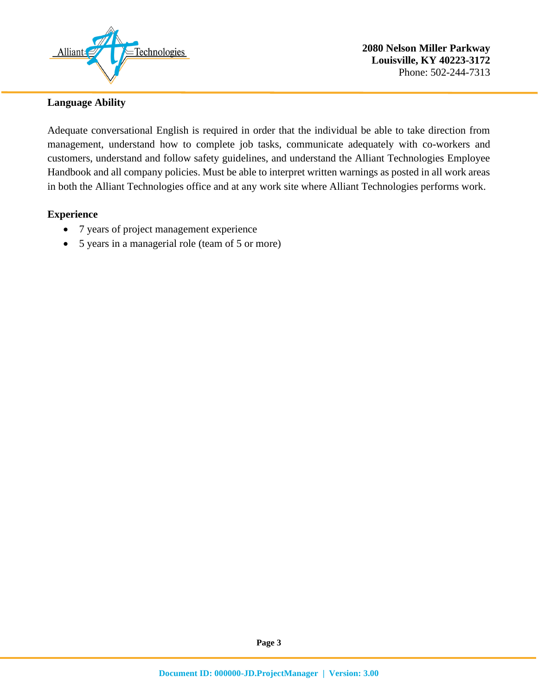

### **Language Ability**

Adequate conversational English is required in order that the individual be able to take direction from management, understand how to complete job tasks, communicate adequately with co-workers and customers, understand and follow safety guidelines, and understand the Alliant Technologies Employee Handbook and all company policies. Must be able to interpret written warnings as posted in all work areas in both the Alliant Technologies office and at any work site where Alliant Technologies performs work.

#### **Experience**

- 7 years of project management experience
- 5 years in a managerial role (team of 5 or more)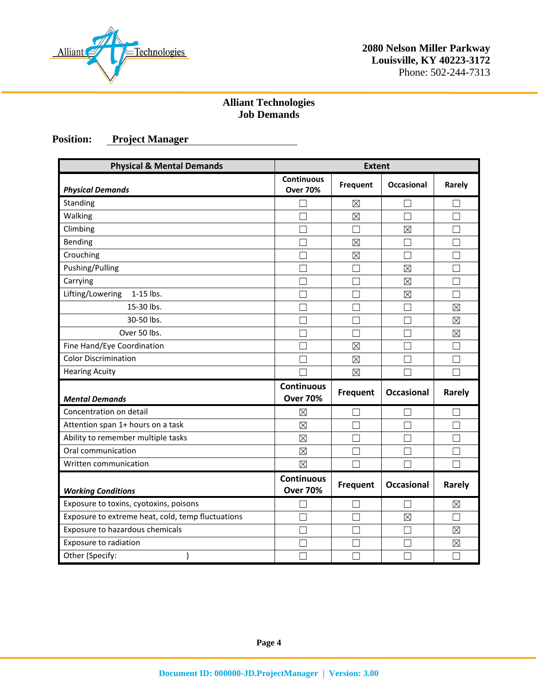

# **Alliant Technologies Job Demands**

# **Position: Project Manager**

| <b>Physical &amp; Mental Demands</b>              | <b>Extent</b>                        |                 |                   |             |
|---------------------------------------------------|--------------------------------------|-----------------|-------------------|-------------|
| <b>Physical Demands</b>                           | <b>Continuous</b><br><b>Over 70%</b> | Frequent        | <b>Occasional</b> | Rarely      |
| Standing                                          |                                      | $\boxtimes$     |                   |             |
| Walking                                           | Τ                                    | $\boxtimes$     | П                 | П           |
| Climbing                                          |                                      | □               | ⊠                 |             |
| Bending                                           |                                      | $\boxtimes$     |                   |             |
| Crouching                                         |                                      | $\boxtimes$     |                   |             |
| Pushing/Pulling                                   |                                      | П               | $\boxtimes$       |             |
| Carrying                                          |                                      | П               | $\boxtimes$       | П           |
| Lifting/Lowering<br>1-15 lbs.                     |                                      |                 | $\boxtimes$       |             |
| 15-30 lbs.                                        |                                      |                 |                   | $\boxtimes$ |
| 30-50 lbs.                                        |                                      | ┌               |                   | $\boxtimes$ |
| Over 50 lbs.                                      |                                      | П               |                   | $\boxtimes$ |
| Fine Hand/Eye Coordination                        |                                      | $\boxtimes$     |                   |             |
| <b>Color Discrimination</b>                       |                                      | $\boxtimes$     |                   |             |
| <b>Hearing Acuity</b>                             |                                      | $\boxtimes$     |                   |             |
| <b>Mental Demands</b>                             | <b>Continuous</b><br><b>Over 70%</b> | Frequent        | <b>Occasional</b> | Rarely      |
| Concentration on detail                           | $\boxtimes$                          | П               | $\perp$           |             |
| Attention span 1+ hours on a task                 | $\boxtimes$                          |                 |                   |             |
| Ability to remember multiple tasks                | $\boxtimes$                          |                 |                   |             |
| Oral communication                                | $\boxtimes$                          | П               |                   |             |
| Written communication                             | $\boxtimes$                          |                 |                   |             |
| <b>Working Conditions</b>                         | <b>Continuous</b><br><b>Over 70%</b> | <b>Frequent</b> | <b>Occasional</b> | Rarely      |
| Exposure to toxins, cyotoxins, poisons            |                                      |                 |                   | ⊠           |
| Exposure to extreme heat, cold, temp fluctuations |                                      |                 | $\boxtimes$       |             |
| Exposure to hazardous chemicals                   |                                      | П               |                   | $\boxtimes$ |
| Exposure to radiation                             |                                      | L.              |                   | $\boxtimes$ |
| Other (Specify:                                   |                                      |                 |                   |             |

**Page 4**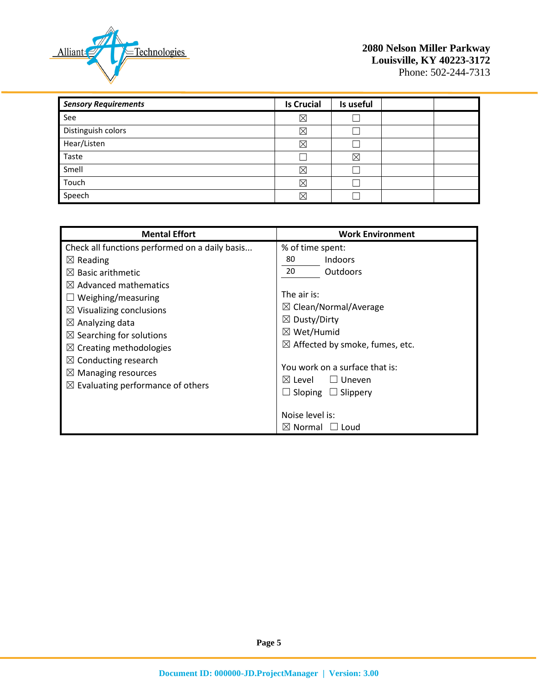

| <b>Sensory Requirements</b> | <b>Is Crucial</b> | Is useful |  |
|-----------------------------|-------------------|-----------|--|
| See                         | $\boxtimes$       |           |  |
| Distinguish colors          | ⊠                 |           |  |
| Hear/Listen                 | X                 |           |  |
| Taste                       |                   | ⊠         |  |
| Smell                       | $\boxtimes$       |           |  |
| Touch                       | $\boxtimes$       |           |  |
| Speech                      | X                 |           |  |

| <b>Mental Effort</b>                                                                                                                                                                                                                                                                                                                                                                                                                          | <b>Work Environment</b>                                                                                                                                                                                                                                                                                                                    |
|-----------------------------------------------------------------------------------------------------------------------------------------------------------------------------------------------------------------------------------------------------------------------------------------------------------------------------------------------------------------------------------------------------------------------------------------------|--------------------------------------------------------------------------------------------------------------------------------------------------------------------------------------------------------------------------------------------------------------------------------------------------------------------------------------------|
| Check all functions performed on a daily basis<br>$\boxtimes$ Reading<br>$\boxtimes$ Basic arithmetic<br>$\boxtimes$ Advanced mathematics<br>$\Box$ Weighing/measuring<br>$\boxtimes$ Visualizing conclusions<br>$\boxtimes$ Analyzing data<br>$\boxtimes$ Searching for solutions<br>$\boxtimes$ Creating methodologies<br>$\boxtimes$ Conducting research<br>$\boxtimes$ Managing resources<br>$\boxtimes$ Evaluating performance of others | % of time spent:<br>Indoors<br>80<br>20<br><b>Outdoors</b><br>The air is:<br>$\boxtimes$ Clean/Normal/Average<br>$\boxtimes$ Dusty/Dirty<br>$\boxtimes$ Wet/Humid<br>$\boxtimes$ Affected by smoke, fumes, etc.<br>You work on a surface that is:<br>$\boxtimes$ Level<br>$\Box$ Uneven<br>Sloping $\Box$ Slippery<br>Ш<br>Noise level is: |
|                                                                                                                                                                                                                                                                                                                                                                                                                                               | $\boxtimes$ Normal<br>Loud                                                                                                                                                                                                                                                                                                                 |

**Page 5**